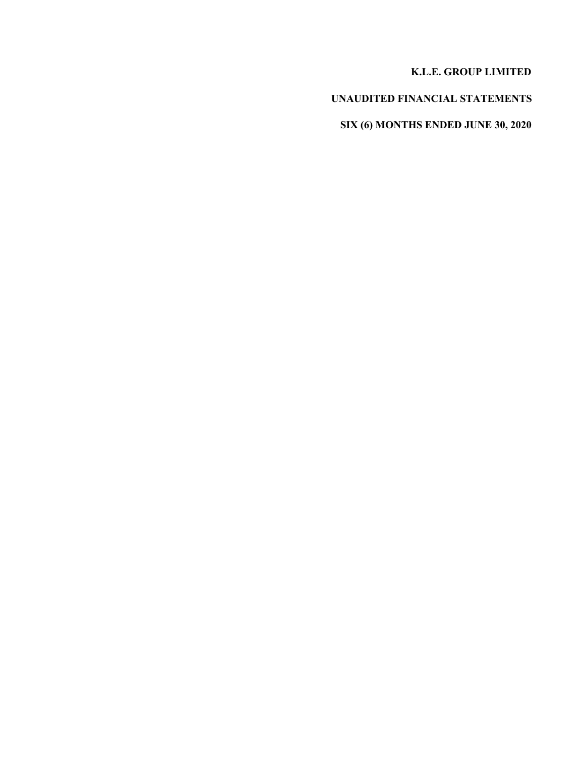### **K.L.E. GROUP LIMITED**

## **UNAUDITED FINANCIAL STATEMENTS**

**SIX (6) MONTHS ENDED JUNE 30, 2020**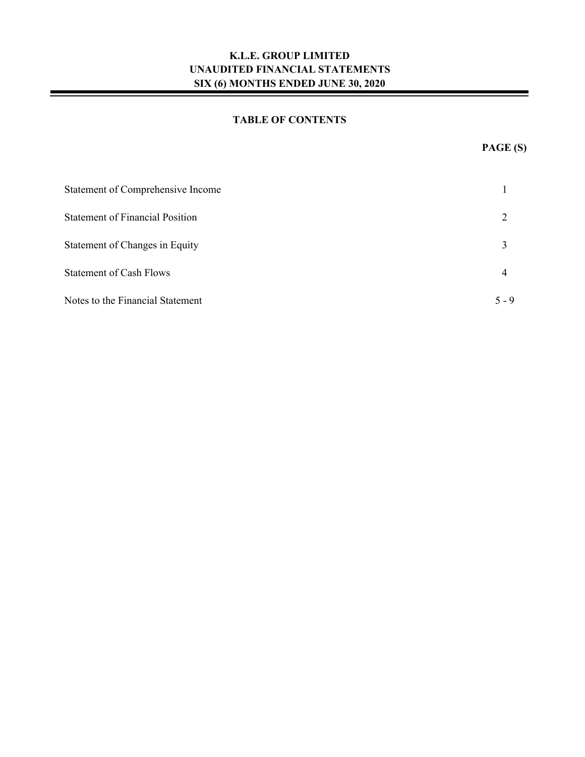### **TABLE OF CONTENTS**

| Statement of Comprehensive Income      |         |
|----------------------------------------|---------|
| <b>Statement of Financial Position</b> |         |
| Statement of Changes in Equity         | 3       |
| <b>Statement of Cash Flows</b>         | 4       |
| Notes to the Financial Statement       | $5 - 9$ |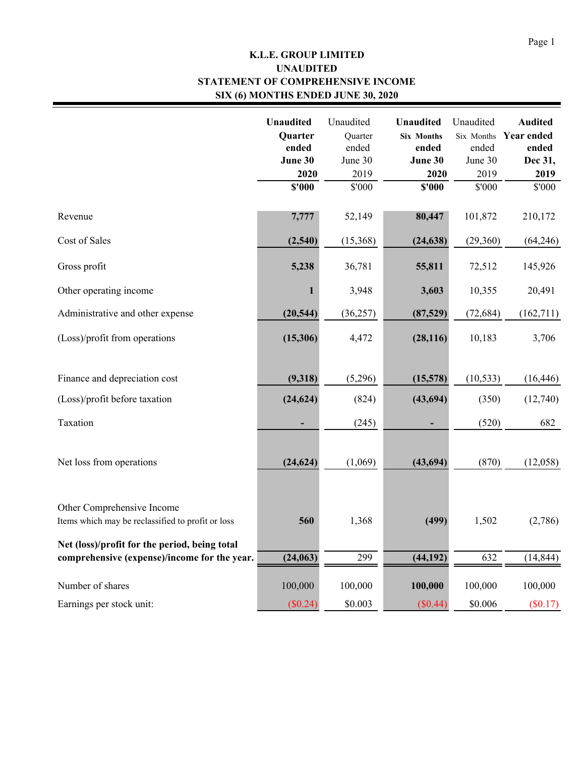## **K.L.E. GROUP LIMITED STATEMENT OF COMPREHENSIVE INCOME SIX (6) MONTHS ENDED JUNE 30, 2020 UNAUDITED**

|                                                                                 | <b>Unaudited</b><br>Quarter<br>ended<br>June 30 | Unaudited<br>Ouarter<br>ended<br>June 30 | <b>Unaudited</b><br><b>Six Months</b><br>ended<br>June 30 | Unaudited<br>Six Months<br>ended<br>June 30 | <b>Audited</b><br><b>Year ended</b><br>ended<br>Dec 31, |
|---------------------------------------------------------------------------------|-------------------------------------------------|------------------------------------------|-----------------------------------------------------------|---------------------------------------------|---------------------------------------------------------|
|                                                                                 | 2020                                            | 2019                                     | 2020                                                      | 2019                                        | 2019                                                    |
|                                                                                 | \$'000                                          | \$'000                                   | \$'000                                                    | \$'000                                      | \$'000                                                  |
|                                                                                 |                                                 |                                          |                                                           |                                             |                                                         |
| Revenue                                                                         | 7,777                                           | 52,149                                   | 80,447                                                    | 101,872                                     | 210,172                                                 |
| Cost of Sales                                                                   | (2,540)                                         | (15,368)                                 | (24, 638)                                                 | (29,360)                                    | (64,246)                                                |
| Gross profit                                                                    | 5,238                                           | 36,781                                   | 55,811                                                    | 72,512                                      | 145,926                                                 |
| Other operating income                                                          | 1                                               | 3,948                                    | 3,603                                                     | 10,355                                      | 20,491                                                  |
| Administrative and other expense                                                | (20, 544)                                       | (36, 257)                                | (87, 529)                                                 | (72, 684)                                   | (162, 711)                                              |
| (Loss)/profit from operations                                                   | (15,306)                                        | 4,472                                    | (28, 116)                                                 | 10,183                                      | 3,706                                                   |
| Finance and depreciation cost                                                   | (9,318)                                         | (5,296)                                  | (15,578)                                                  | (10, 533)                                   | (16, 446)                                               |
| (Loss)/profit before taxation                                                   | (24, 624)                                       | (824)                                    | (43, 694)                                                 | (350)                                       | (12,740)                                                |
| Taxation                                                                        |                                                 | (245)                                    |                                                           | (520)                                       | 682                                                     |
| Net loss from operations                                                        | (24, 624)                                       | (1,069)                                  | (43, 694)                                                 | (870)                                       | (12,058)                                                |
| Other Comprehensive Income<br>Items which may be reclassified to profit or loss | 560                                             | 1,368                                    | (499)                                                     | 1,502                                       | (2,786)                                                 |
| Net (loss)/profit for the period, being total                                   |                                                 |                                          |                                                           |                                             |                                                         |
| comprehensive (expense)/income for the year.                                    | (24, 063)                                       | 299                                      | (44, 192)                                                 | 632                                         | (14, 844)                                               |
| Number of shares                                                                | 100,000                                         | 100,000                                  | 100,000                                                   | 100,000                                     | 100,000                                                 |
| Earnings per stock unit:                                                        | (\$0.24)                                        | \$0.003                                  | (\$0.44)                                                  | \$0.006                                     | (\$0.17)                                                |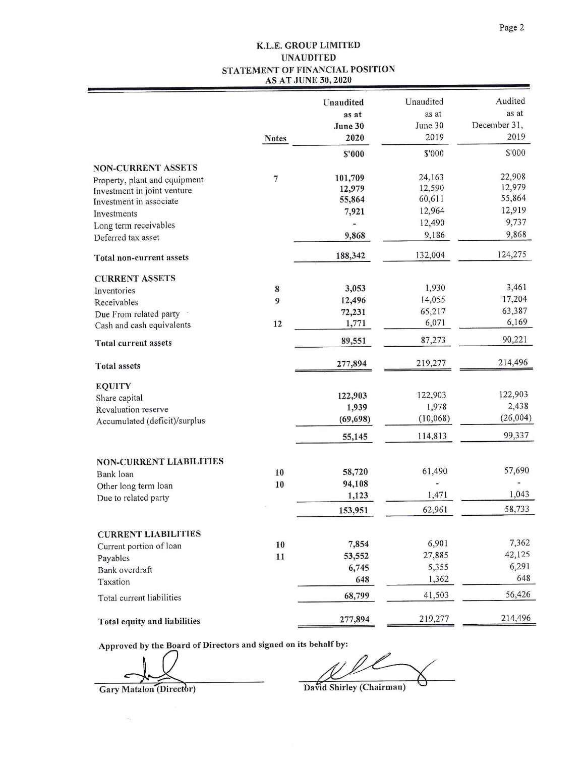#### K.L.E. GROUP LIMITED **UNAUDITED** STATEMENT OF FINANCIAL POSITION **AS AT JUNE 30, 2020**

|                                |                | Unaudited<br>as at<br>June 30 | Unaudited<br>as at<br>June 30 | Audited<br>as at<br>December 31, |
|--------------------------------|----------------|-------------------------------|-------------------------------|----------------------------------|
|                                | <b>Notes</b>   | 2020                          | 2019                          | 2019                             |
|                                |                | \$'000                        | \$'000                        | \$'000                           |
| <b>NON-CURRENT ASSETS</b>      |                |                               |                               |                                  |
| Property, plant and equipment  | $\overline{7}$ | 101,709                       | 24,163                        | 22,908<br>12,979                 |
| Investment in joint venture    |                | 12,979                        | 12,590<br>60,611              | 55,864                           |
| Investment in associate        |                | 55,864<br>7,921               | 12,964                        | 12,919                           |
| Investments                    |                | -                             | 12,490                        | 9,737                            |
| Long term receivables          |                | 9,868                         | 9,186                         | 9,868                            |
| Deferred tax asset             |                |                               |                               |                                  |
| Total non-current assets       |                | 188,342                       | 132,004                       | 124,275                          |
| <b>CURRENT ASSETS</b>          |                |                               |                               |                                  |
| Inventories                    | 8              | 3,053                         | 1,930                         | 3,461                            |
| Receivables                    | 9              | 12,496                        | 14,055                        | 17,204                           |
| Due From related party         |                | 72,231                        | 65,217                        | 63,387                           |
| Cash and cash equivalents      | 12             | 1,771                         | 6,071                         | 6,169                            |
| <b>Total current assets</b>    |                | 89,551                        | 87,273                        | 90,221                           |
| <b>Total assets</b>            |                | 277,894                       | 219,277                       | 214,496                          |
| <b>EQUITY</b>                  |                |                               |                               |                                  |
| Share capital                  |                | 122,903                       | 122,903                       | 122,903                          |
| Revaluation reserve            |                | 1,939                         | 1,978                         | 2,438                            |
| Accumulated (deficit)/surplus  |                | (69, 698)                     | (10,068)                      | (26,004)                         |
|                                |                | 55,145                        | 114,813                       | 99,337                           |
| <b>NON-CURRENT LIABILITIES</b> |                |                               |                               |                                  |
| Bank loan                      | 10             | 58,720                        | 61,490                        | 57,690                           |
| Other long term loan           | 10             | 94,108                        |                               |                                  |
| Due to related party           |                | 1,123                         | 1,471                         | 1,043                            |
|                                |                | 153,951                       | 62,961                        | 58,733                           |
| <b>CURRENT LIABILITIES</b>     |                |                               |                               |                                  |
| Current portion of loan        | 10             | 7,854                         | 6,901                         | 7,362                            |
| Payables                       | 11             | 53,552                        | 27,885                        | 42,125                           |
| Bank overdraft                 |                | 6,745                         | 5,355                         | 6,291                            |
| Taxation                       |                | 648                           | 1,362                         | 648                              |
| Total current liabilities      |                | 68,799                        | 41,503                        | 56,426                           |
| Total equity and liabilities   |                | 277,894                       | 219,277                       | 214,496                          |

Approved by the Board of Directors and signed on its behalf by:

 $\epsilon$ 

Gary Matalon (Director)

Ä,

David Shirley (Chairman)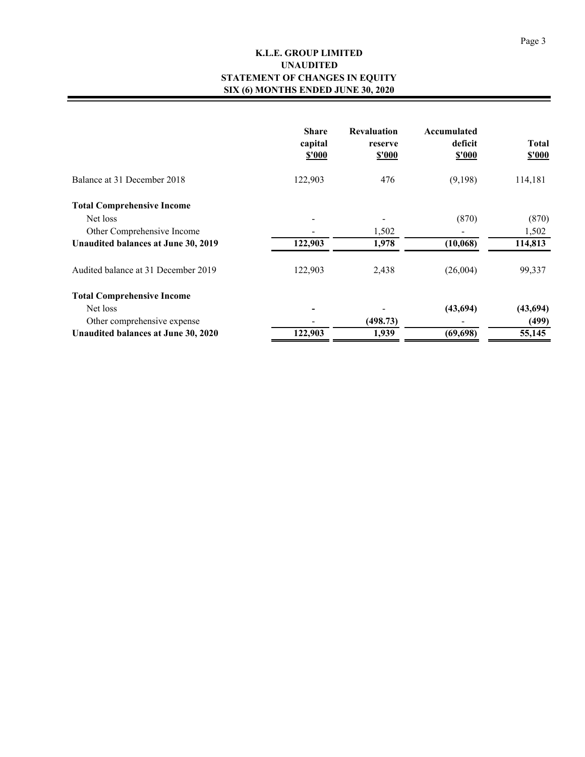### **K.L.E. GROUP LIMITED STATEMENT OF CHANGES IN EQUITY SIX (6) MONTHS ENDED JUNE 30, 2020 UNAUDITED**

|                                     | <b>Share</b><br>capital<br>\$'000 | <b>Revaluation</b><br>reserve<br>\$'000 | Accumulated<br>deficit<br>\$'000 | <b>Total</b><br>\$'000 |
|-------------------------------------|-----------------------------------|-----------------------------------------|----------------------------------|------------------------|
| Balance at 31 December 2018         | 122,903                           | 476                                     | (9,198)                          | 114,181                |
| <b>Total Comprehensive Income</b>   |                                   |                                         |                                  |                        |
| Net loss                            |                                   |                                         | (870)                            | (870)                  |
| Other Comprehensive Income          |                                   | 1,502                                   |                                  | 1,502                  |
| Unaudited balances at June 30, 2019 | 122,903                           | 1,978                                   | (10,068)                         | 114,813                |
| Audited balance at 31 December 2019 | 122,903                           | 2,438                                   | (26,004)                         | 99,337                 |
| <b>Total Comprehensive Income</b>   |                                   |                                         |                                  |                        |
| Net loss                            |                                   |                                         | (43, 694)                        | (43, 694)              |
| Other comprehensive expense         |                                   | (498.73)                                |                                  | (499)                  |
| Unaudited balances at June 30, 2020 | 122,903                           | 1,939                                   | (69, 698)                        | 55,145                 |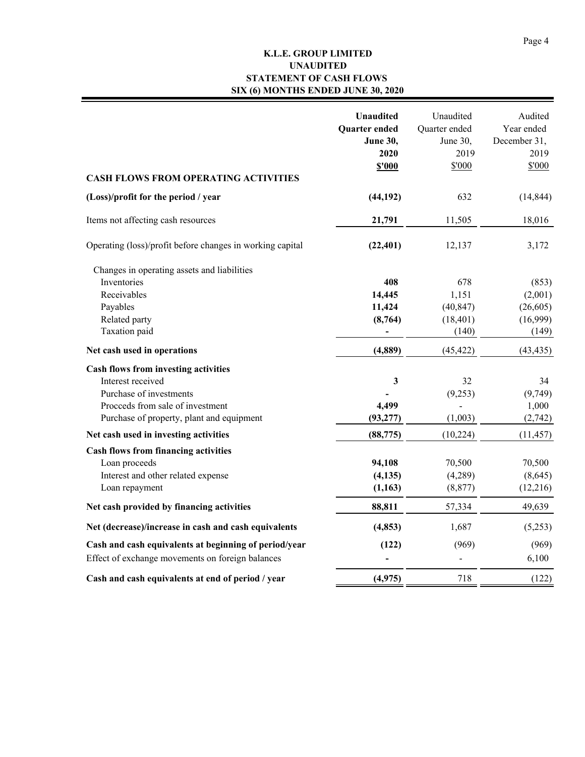### **K.L.E. GROUP LIMITED STATEMENT OF CASH FLOWS SIX (6) MONTHS ENDED JUNE 30, 2020 UNAUDITED**

| <b>CASH FLOWS FROM OPERATING ACTIVITIES</b>                                                                                                                                  | <b>Unaudited</b><br>Quarter ended<br><b>June 30,</b><br>2020<br><b>\$'000</b> | Unaudited<br>Quarter ended<br>June 30,<br>2019<br>\$'000 | Audited<br>Year ended<br>December 31,<br>2019<br>\$'000 |
|------------------------------------------------------------------------------------------------------------------------------------------------------------------------------|-------------------------------------------------------------------------------|----------------------------------------------------------|---------------------------------------------------------|
| (Loss)/profit for the period / year                                                                                                                                          | (44, 192)                                                                     | 632                                                      | (14, 844)                                               |
| Items not affecting cash resources                                                                                                                                           | 21,791                                                                        | 11,505                                                   | 18,016                                                  |
| Operating (loss)/profit before changes in working capital                                                                                                                    | (22, 401)                                                                     | 12,137                                                   | 3,172                                                   |
| Changes in operating assets and liabilities<br>Inventories<br>Receivables<br>Payables<br>Related party<br>Taxation paid                                                      | 408<br>14,445<br>11,424<br>(8,764)<br>$\overline{\phantom{a}}$                | 678<br>1,151<br>(40, 847)<br>(18, 401)<br>(140)          | (853)<br>(2,001)<br>(26,605)<br>(16,999)<br>(149)       |
| Net cash used in operations                                                                                                                                                  | (4,889)                                                                       | (45, 422)                                                | (43, 435)                                               |
| <b>Cash flows from investing activities</b><br>Interest received<br>Purchase of investments<br>Proceeds from sale of investment<br>Purchase of property, plant and equipment | $\mathbf{3}$<br>4,499<br>(93, 277)                                            | 32<br>(9,253)<br>(1,003)                                 | 34<br>(9,749)<br>1,000<br>(2,742)                       |
| Net cash used in investing activities                                                                                                                                        | (88, 775)                                                                     | (10, 224)                                                | (11, 457)                                               |
| <b>Cash flows from financing activities</b><br>Loan proceeds<br>Interest and other related expense<br>Loan repayment                                                         | 94,108<br>(4, 135)<br>(1, 163)                                                | 70,500<br>(4,289)<br>(8, 877)                            | 70,500<br>(8,645)<br>(12,216)                           |
| Net cash provided by financing activities                                                                                                                                    | 88,811                                                                        | 57,334                                                   | 49,639                                                  |
| Net (decrease)/increase in cash and cash equivalents<br>Cash and cash equivalents at beginning of period/year<br>Effect of exchange movements on foreign balances            | (4, 853)<br>(122)                                                             | 1,687<br>(969)                                           | (5,253)<br>(969)<br>6,100                               |
| Cash and cash equivalents at end of period / year                                                                                                                            | (4, 975)                                                                      | 718                                                      | (122)                                                   |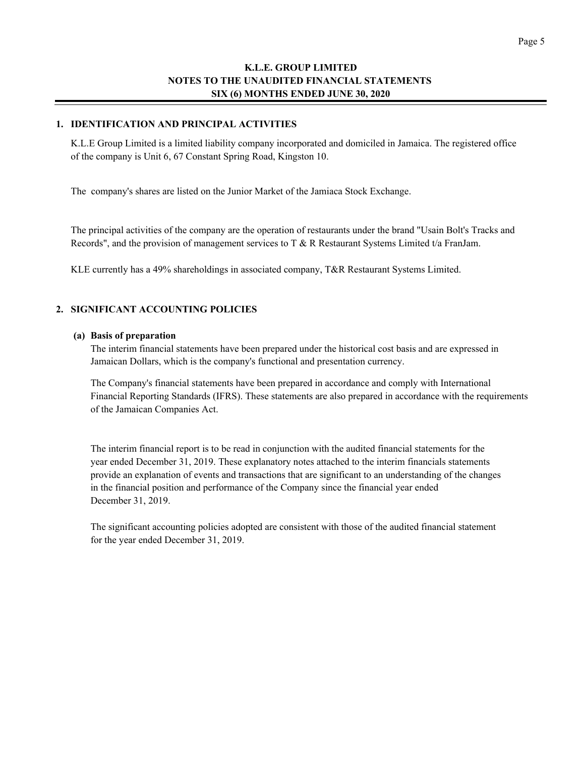#### **1. IDENTIFICATION AND PRINCIPAL ACTIVITIES**

K.L.E Group Limited is a limited liability company incorporated and domiciled in Jamaica. The registered office of the company is Unit 6, 67 Constant Spring Road, Kingston 10.

The company's shares are listed on the Junior Market of the Jamiaca Stock Exchange.

The principal activities of the company are the operation of restaurants under the brand "Usain Bolt's Tracks and Records", and the provision of management services to T & R Restaurant Systems Limited t/a FranJam.

KLE currently has a 49% shareholdings in associated company, T&R Restaurant Systems Limited.

#### **2. SIGNIFICANT ACCOUNTING POLICIES**

#### **(a) Basis of preparation**

The interim financial statements have been prepared under the historical cost basis and are expressed in Jamaican Dollars, which is the company's functional and presentation currency.

The Company's financial statements have been prepared in accordance and comply with International Financial Reporting Standards (IFRS). These statements are also prepared in accordance with the requirements of the Jamaican Companies Act.

The interim financial report is to be read in conjunction with the audited financial statements for the year ended December 31, 2019. These explanatory notes attached to the interim financials statements provide an explanation of events and transactions that are significant to an understanding of the changes in the financial position and performance of the Company since the financial year ended December 31, 2019.

The significant accounting policies adopted are consistent with those of the audited financial statement for the year ended December 31, 2019.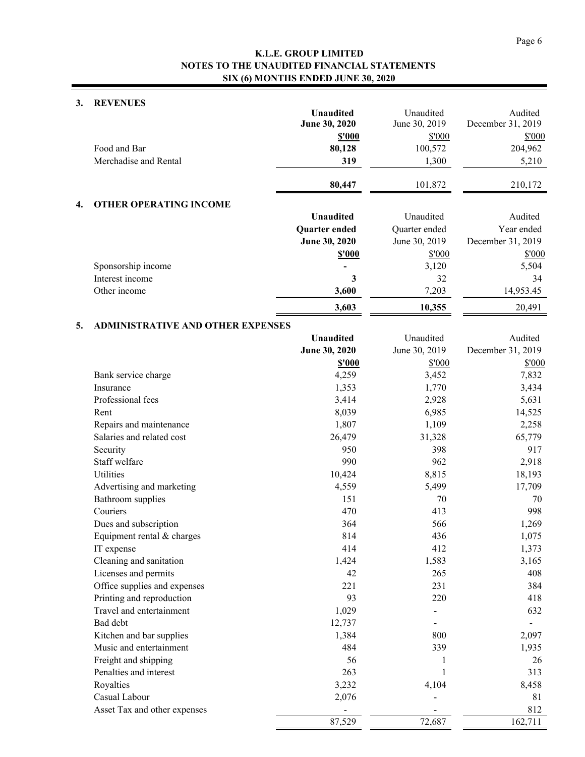#### **3. REVENUES**

|    |                                          | <b>Unaudited</b><br>June 30, 2020<br><b>\$'000</b> | Unaudited<br>June 30, 2019<br>\$'000 | Audited<br>December 31, 2019<br>\$'000 |
|----|------------------------------------------|----------------------------------------------------|--------------------------------------|----------------------------------------|
|    | Food and Bar                             | 80,128                                             | 100,572                              | 204,962                                |
|    | Merchadise and Rental                    | 319                                                | 1,300                                | 5,210                                  |
|    |                                          | 80,447                                             | 101,872                              | 210,172                                |
| 4. | <b>OTHER OPERATING INCOME</b>            |                                                    |                                      |                                        |
|    |                                          | <b>Unaudited</b>                                   | Unaudited                            | Audited                                |
|    |                                          | Quarter ended                                      | Quarter ended                        | Year ended                             |
|    |                                          | June 30, 2020                                      | June 30, 2019                        | December 31, 2019                      |
|    |                                          | <b>\$'000</b>                                      | \$'000                               | \$'000                                 |
|    | Sponsorship income                       |                                                    | 3,120                                | 5,504                                  |
|    | Interest income                          | 3                                                  | 32                                   | 34                                     |
|    | Other income                             | 3,600                                              | 7,203                                | 14,953.45                              |
|    |                                          | 3,603                                              | 10,355                               | 20,491                                 |
| 5. | <b>ADMINISTRATIVE AND OTHER EXPENSES</b> |                                                    |                                      |                                        |
|    |                                          | <b>Unaudited</b>                                   | Unaudited                            | Audited                                |
|    |                                          | June 30, 2020                                      | June 30, 2019                        | December 31, 2019                      |
|    |                                          | \$'000                                             | \$'000                               | \$'000                                 |
|    | Bank service charge                      | 4,259                                              | 3,452                                | 7,832                                  |
|    | Insurance                                | 1,353                                              | 1,770                                | 3,434                                  |
|    | Professional fees                        | 3,414                                              | 2,928                                | 5,631                                  |
|    | Rent                                     | 8,039                                              | 6,985                                | 14,525                                 |
|    | Repairs and maintenance                  | 1,807                                              | 1,109                                | 2,258                                  |
|    | Salaries and related cost                | 26,479                                             | 31,328                               | 65,779                                 |
|    | Security                                 | 950                                                | 398                                  | 917                                    |
|    | Staff welfare                            | 990                                                | 962                                  | 2,918                                  |
|    | Utilities                                | 10,424                                             | 8,815                                | 18,193                                 |
|    | Advertising and marketing                | 4,559                                              | 5,499                                | 17,709                                 |
|    | <b>Bathroom</b> supplies                 | 151                                                | 70                                   | 70                                     |
|    | Couriers                                 | 470                                                | 413                                  | 998                                    |
|    | Dues and subscription                    | 364                                                | 566                                  | 1,269                                  |
|    | Equipment rental & charges               | 814                                                | 436                                  | 1,075                                  |
|    | IT expense                               | 414                                                | 412                                  | 1,373                                  |
|    | Cleaning and sanitation                  | 1,424                                              | 1,583                                | 3,165                                  |
|    | Licenses and permits                     | 42                                                 | 265                                  | 408                                    |
|    | Office supplies and expenses             | 221                                                | 231                                  | 384                                    |
|    | Printing and reproduction                | 93                                                 | 220                                  | 418                                    |
|    | Travel and entertainment                 | 1,029                                              |                                      | 632                                    |
|    | Bad debt                                 | 12,737                                             |                                      |                                        |
|    | Kitchen and bar supplies                 | 1,384                                              | 800                                  | 2,097                                  |
|    | Music and entertainment                  | 484                                                | 339                                  | 1,935                                  |
|    | Freight and shipping                     | 56                                                 |                                      | 26                                     |
|    | Penalties and interest                   | 263                                                | 1                                    | 313                                    |
|    | Royalties                                | 3,232                                              | 4,104                                | 8,458                                  |
|    | Casual Labour                            | 2,076                                              |                                      | 81                                     |
|    | Asset Tax and other expenses             |                                                    |                                      | 812                                    |
|    |                                          | 87,529                                             | 72,687                               | 162,711                                |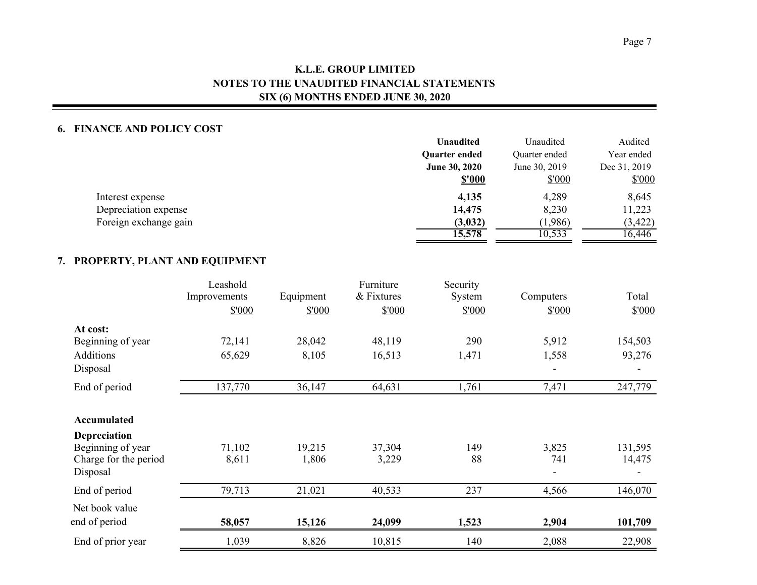#### **6. FINANCE AND POLICY COST**

|                       | <b>Unaudited</b>     | Unaudited     | Audited      |
|-----------------------|----------------------|---------------|--------------|
|                       | <b>Ouarter ended</b> | Quarter ended | Year ended   |
|                       | June 30, 2020        | June 30, 2019 | Dec 31, 2019 |
|                       | <b>\$'000</b>        | \$'000        | \$'000       |
| Interest expense      | 4,135                | 4,289         | 8,645        |
| Depreciation expense  | 14,475               | 8,230         | 11,223       |
| Foreign exchange gain | (3,032)              | (1,986)       | (3, 422)     |
|                       | 15,578               | 10,533        | 16,446       |

### **7. PROPERTY, PLANT AND EQUIPMENT**

|                                   | Leashold<br>Improvements<br>\$'000 | Equipment<br>\$'000 | Furniture<br>& Fixtures<br>\$'000 | Security<br>System<br>\$'000 | Computers<br>\$'000 | Total<br>\$'000 |
|-----------------------------------|------------------------------------|---------------------|-----------------------------------|------------------------------|---------------------|-----------------|
| At cost:                          |                                    |                     |                                   |                              |                     |                 |
| Beginning of year                 | 72,141                             | 28,042              | 48,119                            | 290                          | 5,912               | 154,503         |
| Additions                         | 65,629                             | 8,105               | 16,513                            | 1,471                        | 1,558               | 93,276          |
| Disposal                          |                                    |                     |                                   |                              |                     |                 |
| End of period                     | 137,770                            | 36,147              | 64,631                            | 1,761                        | 7,471               | 247,779         |
| Accumulated                       |                                    |                     |                                   |                              |                     |                 |
| <b>Depreciation</b>               |                                    |                     |                                   |                              |                     |                 |
| Beginning of year                 | 71,102                             | 19,215              | 37,304                            | 149                          | 3,825               | 131,595         |
| Charge for the period<br>Disposal | 8,611                              | 1,806               | 3,229                             | 88                           | 741                 | 14,475          |
| End of period                     | 79,713                             | 21,021              | 40,533                            | 237                          | 4,566               | 146,070         |
| Net book value                    |                                    |                     |                                   |                              |                     |                 |
| end of period                     | 58,057                             | 15,126              | 24,099                            | 1,523                        | 2,904               | 101,709         |
| End of prior year                 | 1,039                              | 8,826               | 10,815                            | 140                          | 2,088               | 22,908          |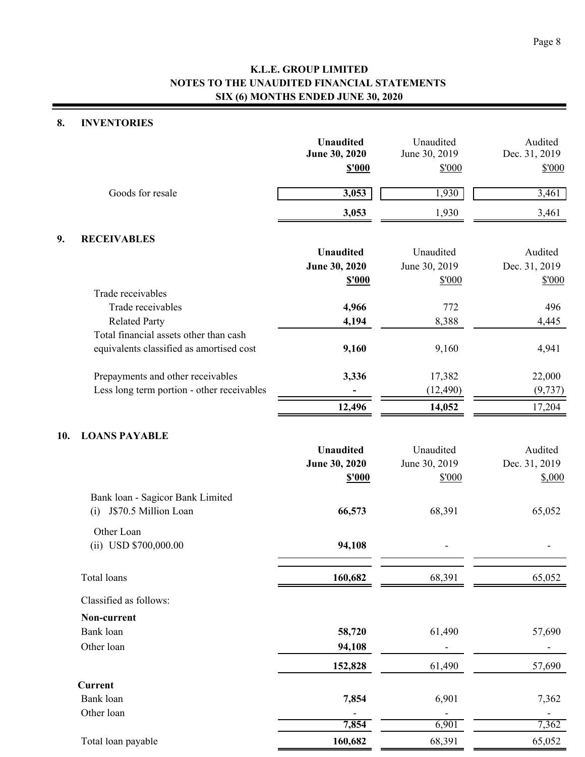### **8. INVENTORIES**

|     |                                                                | <b>Unaudited</b><br>June 30, 2020<br>\$'000 | Unaudited<br>June 30, 2019<br>\$'000 | Audited<br>Dec. 31, 2019<br>\$'000 |
|-----|----------------------------------------------------------------|---------------------------------------------|--------------------------------------|------------------------------------|
|     | Goods for resale                                               | 3,053                                       | 1,930                                | 3,461                              |
|     |                                                                | 3,053                                       | 1,930                                | 3,461                              |
| 9.  | <b>RECEIVABLES</b>                                             |                                             |                                      |                                    |
|     |                                                                | <b>Unaudited</b>                            | Unaudited                            | Audited                            |
|     |                                                                | June 30, 2020                               | June 30, 2019                        | Dec. 31, 2019                      |
|     |                                                                | <b>\$'000</b>                               | \$'000                               | \$'000                             |
|     | Trade receivables                                              |                                             |                                      |                                    |
|     | Trade receivables                                              | 4,966                                       | 772                                  | 496                                |
|     | <b>Related Party</b><br>Total financial assets other than cash | 4,194                                       | 8,388                                | 4,445                              |
|     | equivalents classified as amortised cost                       | 9,160                                       | 9,160                                | 4,941                              |
|     | Prepayments and other receivables                              | 3,336                                       | 17,382                               | 22,000                             |
|     | Less long term portion - other receivables                     |                                             | (12, 490)                            | (9, 737)                           |
|     |                                                                | 12,496                                      | 14,052                               | 17,204                             |
| 10. | <b>LOANS PAYABLE</b>                                           |                                             |                                      |                                    |
|     |                                                                | <b>Unaudited</b>                            | Unaudited                            | Audited                            |
|     |                                                                | June 30, 2020                               | June 30, 2019                        | Dec. 31, 2019                      |
|     |                                                                | <b>\$'000</b>                               | \$'000                               | \$,000                             |
|     | Bank loan - Sagicor Bank Limited                               |                                             |                                      |                                    |
|     | J\$70.5 Million Loan<br>(i)                                    | 66,573                                      | 68,391                               | 65,052                             |
|     | Other Loan                                                     |                                             |                                      |                                    |
|     | (ii) USD \$700,000.00                                          | 94,108                                      |                                      |                                    |
|     | Total loans                                                    | 160,682                                     | 68,391                               | 65,052                             |
|     | Classified as follows:                                         |                                             |                                      |                                    |
|     | Non-current                                                    |                                             |                                      |                                    |
|     | Bank loan                                                      | 58,720                                      | 61,490                               | 57,690                             |
|     | Other loan                                                     | 94,108                                      |                                      |                                    |
|     |                                                                | 152,828                                     | 61,490                               | 57,690                             |
|     | <b>Current</b>                                                 |                                             |                                      |                                    |
|     | Bank loan                                                      | 7,854                                       | 6,901                                | 7,362                              |
|     | Other loan                                                     |                                             |                                      |                                    |
|     |                                                                | 7,854                                       | 6,901                                | 7,362                              |
|     | Total loan payable                                             | 160,682                                     | 68,391                               | 65,052                             |